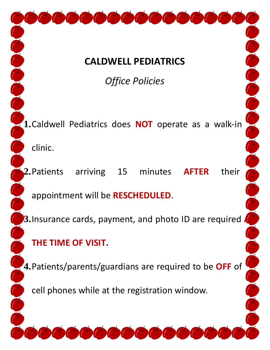# **CALDWELL PEDIATRICS**

*Office Policies*

**1.**Caldwell Pediatrics does **NOT** operate as a walk-in clinic.

**2.**Patients arriving 15 minutes **AFTER** their

appointment will be **RESCHEDULED**.

**3.** Insurance cards, payment, and photo ID are required

# **THE TIME OF VISIT.**

**4.**Patients/parents/guardians are required to be **OFF** of

cell phones while at the registration window.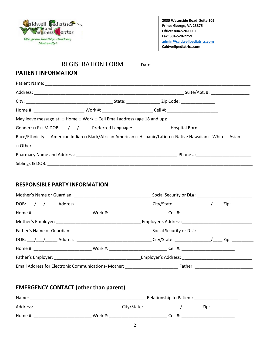

## REGISTRATION FORM Date:

### **PATIENT INFORMATION**

|                                 | Home #: _________________________________Work #: ____________________________Cell #: _________________________ |  |
|---------------------------------|----------------------------------------------------------------------------------------------------------------|--|
|                                 |                                                                                                                |  |
|                                 |                                                                                                                |  |
|                                 | Race/Ethnicity: □ American Indian □ Black/African American □ Hispanic/Latino □ Native Hawaiian □ White □ Asian |  |
| □ Other _______________________ |                                                                                                                |  |
|                                 |                                                                                                                |  |
| Siblings & DOB: ______________  |                                                                                                                |  |

## **RESPONSIBLE PARTY INFORMATION**

| Home #: _________________________________Work #: ______________________________Cell #: _______________________ |  |  |
|----------------------------------------------------------------------------------------------------------------|--|--|
|                                                                                                                |  |  |
|                                                                                                                |  |  |
|                                                                                                                |  |  |
| Home #: _________________________________Work #: ______________________________Cell #: _______________________ |  |  |
| Father's Employer: Employer's Address:                                                                         |  |  |
|                                                                                                                |  |  |

## **EMERGENCY CONTACT (other than parent)**

| Name:      | Relationship to Patient: |         |
|------------|--------------------------|---------|
| Address:   | City/State:              | Zip:    |
| Home $#$ : | Work #:                  | Cell #: |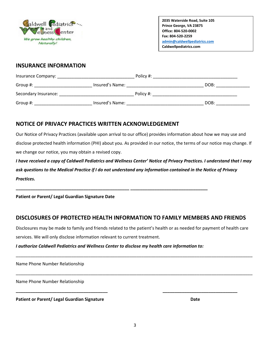

## **INSURANCE INFORMATION**

| Insurance Company:   |                 | Policy #: |      |
|----------------------|-----------------|-----------|------|
| Group #:             | Insured's Name: |           | DOB: |
| Secondary Insurance: |                 | Policy #: |      |
| Group #:             | Insured's Name: |           | DOB: |

## **NOTICE OF PRIVACY PRACTICES WRITTEN ACKNOWLEDGEMENT**

Our Notice of Privacy Practices (available upon arrival to our office) provides information about how we may use and disclose protected health information (PHI) about you. As provided in our notice, the terms of our notice may change. If we change our notice, you may obtain a revised copy.

*I have received a copy of Caldwell Pediatrics and Wellness Center' Notice of Privacy Practices. I understand that I may ask questions to the Medical Practice if I do not understand any information contained in the Notice of Privacy Practices.*

**Patient or Parent/ Legal Guardian Signature Date**

## **DISCLOSURES OF PROTECTED HEALTH INFORMATION TO FAMILY MEMBERS AND FRIENDS**

Disclosures may be made to family and friends related to the patient's health or as needed for payment of health care services. We will only disclose information relevant to current treatment.

\_\_\_\_\_\_\_\_\_\_\_\_\_\_\_\_\_\_\_\_\_\_\_\_\_\_\_\_\_\_\_\_\_\_\_\_\_\_\_\_\_\_\_\_\_\_\_\_\_\_\_\_\_\_\_\_\_\_\_\_\_\_\_\_\_\_\_\_\_\_\_\_\_\_\_\_\_\_\_\_\_\_\_\_\_\_\_\_\_\_\_\_\_\_\_\_\_\_

\_\_\_\_\_\_\_\_\_\_\_\_\_\_\_\_\_\_\_\_\_\_\_\_\_\_\_\_\_\_\_\_\_\_\_\_\_\_\_\_\_\_\_\_\_\_\_\_\_\_\_\_\_\_\_\_\_\_\_\_\_\_\_\_\_\_\_\_\_\_\_\_\_\_\_\_\_\_\_\_\_\_\_\_\_\_\_\_\_\_\_\_\_\_\_\_\_\_

**\_\_\_\_\_\_\_\_\_\_\_\_\_\_\_\_\_\_\_\_\_\_\_\_\_\_\_\_\_\_\_\_\_\_\_\_\_\_ \_\_\_\_\_\_\_\_\_\_\_\_\_\_\_\_\_\_\_\_\_\_\_\_\_\_\_\_\_\_\_**

#### *I authorize Caldwell Pediatrics and Wellness Center to disclose my health care information to:*

**\_\_\_\_\_\_\_\_\_\_\_\_\_\_\_\_\_\_\_\_\_\_\_\_\_\_\_\_\_\_\_\_\_\_\_\_\_\_\_\_\_\_\_\_\_\_\_ \_\_\_\_\_\_\_\_\_\_\_\_\_\_\_\_\_\_\_\_\_\_\_\_\_\_\_\_\_\_\_\_**

Name Phone Number Relationship

Name Phone Number Relationship

**Patient or Parent/ Legal Guardian Signature department of the Cate of Date**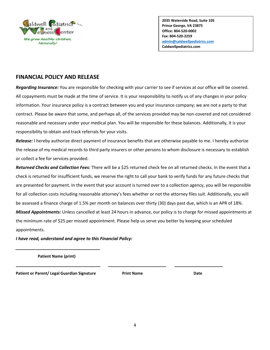

## **FINANCIAL POLICY AND RELEASE**

*Regarding Insurance:* You are responsible for checking with your carrier to see if services at our office will be covered. All copayments must be made at the time of service. It is your responsibility to notify us of any changes in your policy information. Your insurance policy is a contract between you and your insurance company; we are not a party to that contract. Please be aware that some, and perhaps all, of the services provided may be non-covered and not considered reasonable and necessary under your medical plan. You will be responsible for these balances. Additionally, it is your responsibility to obtain and track referrals for your visits.

*Release:* I hereby authorize direct payment of insurance benefits that are otherwise payable to me. I hereby authorize the release of my medical records to third party insurers or other persons to whom disclosure is necessary to establish or collect a fee for services provided.

*Returned Checks and Collection Fees:* There will be a \$25 returned check fee on all returned checks. In the event that a check is returned for insufficient funds, we reserve the right to call your bank to verify funds for any future checks that are presented for payment. In the event that your account is turned over to a collection agency, you will be responsible for all collection costs including reasonable attorney's fees whether or not the attorney files suit. Additionally, you will be assessed a finance charge of 1.5% per month on balances over thirty (30) days past due, which is an APR of 18%. *Missed Appointments:* Unless cancelled at least 24 hours in advance, our policy is to charge for missed appointments at the minimum rate of \$25 per missed appointment. Please help us serve you better by keeping your scheduled appointments.

*I have read, understand and agree to this Financial Policy:*

*\_\_\_\_\_\_\_\_\_\_\_\_\_\_\_\_\_\_\_\_\_\_\_\_\_\_\_\_\_\_\_\_\_\_\_*  **Patient Name (print)**

Patient or Parent/ Legal Guardian Signature **Print Name** Print Name **Date** 

**\_\_\_\_\_\_\_\_\_\_\_\_\_\_\_\_\_\_\_\_\_\_\_\_\_\_\_\_\_\_\_\_\_\_\_ \_\_\_\_\_\_\_\_\_\_\_\_\_\_\_\_\_\_\_\_\_\_\_\_ \_\_\_\_\_\_\_\_\_\_\_\_\_\_\_\_\_\_\_\_**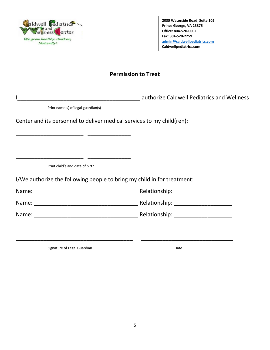

## **Permission to Treat**

I

Print name(s) of legal guardian(s)

\_\_\_\_\_\_\_\_\_\_\_\_\_\_\_\_\_\_\_\_\_\_ \_\_\_\_\_\_\_\_\_\_\_\_\_\_

Center and its personnel to deliver medical services to my child(ren):

Print child's and date of birth

\_\_\_\_\_\_\_\_\_\_\_\_\_\_\_\_\_\_\_\_\_\_ \_\_\_\_\_\_\_\_\_\_\_\_\_\_

\_\_\_\_\_\_\_\_\_\_\_\_\_\_\_\_\_\_\_\_\_\_ \_\_\_\_\_\_\_\_\_\_\_\_\_\_

I/We authorize the following people to bring my child in for treatment:

Name: \_\_\_\_\_\_\_\_\_\_\_\_\_\_\_\_\_\_\_\_\_\_\_\_\_\_\_\_\_\_\_\_\_\_ Relationship: \_\_\_\_\_\_\_\_\_\_\_\_\_\_\_\_\_\_\_ Name: \_\_\_\_\_\_\_\_\_\_\_\_\_\_\_\_\_\_\_\_\_\_\_\_\_\_\_\_\_\_\_\_\_\_ Relationship: \_\_\_\_\_\_\_\_\_\_\_\_\_\_\_\_\_\_\_

\_\_\_\_\_\_\_\_\_\_\_\_\_\_\_\_\_\_\_\_\_\_\_\_\_\_\_\_\_\_\_\_\_\_\_\_\_\_ \_\_\_\_\_\_\_\_\_\_\_\_\_\_\_\_\_\_\_\_\_\_\_\_\_\_\_\_\_\_

Name: \_\_\_\_\_\_\_\_\_\_\_\_\_\_\_\_\_\_\_\_\_\_\_\_\_\_\_\_\_\_\_\_\_\_ Relationship: \_\_\_\_\_\_\_\_\_\_\_\_\_\_\_\_\_\_\_

Signature of Legal Guardian Date Controller and Date Date Date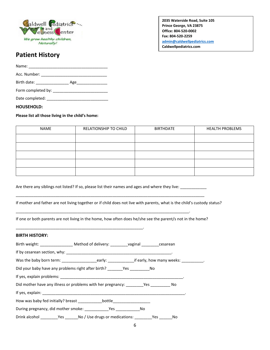

# **Patient History**

Name: \_\_\_\_\_\_\_\_\_\_\_\_\_\_\_\_\_\_\_\_\_\_\_\_\_\_\_\_\_\_\_\_\_\_\_\_ Acc. Number: \_\_\_\_\_\_\_\_\_\_\_\_\_\_\_\_\_\_\_\_\_\_\_\_\_\_\_\_\_\_ Birth date: \_\_\_\_\_\_\_\_\_\_\_\_\_\_\_ Age\_\_\_\_\_\_\_\_\_\_\_\_\_\_

Form completed by: \_\_\_\_\_\_\_\_\_\_\_\_\_\_\_\_\_\_\_\_\_\_\_\_\_

Date completed: \_\_\_\_\_\_\_\_\_\_\_\_\_\_\_\_\_\_\_\_\_\_\_\_\_\_\_\_

#### **HOUSEHOLD:**

#### **Please list all those living in the child's home:**

| NAME | RELATIONSHIP TO CHILD | <b>BIRTHDATE</b> | <b>HEALTH PROBLEMS</b> |
|------|-----------------------|------------------|------------------------|
|      |                       |                  |                        |
|      |                       |                  |                        |
|      |                       |                  |                        |
|      |                       |                  |                        |
|      |                       |                  |                        |

Are there any siblings not listed? If so, please list their names and ages and where they live:

\_\_\_\_\_\_\_\_\_\_\_\_\_\_\_\_\_\_\_\_\_\_\_\_\_\_\_\_\_\_\_\_\_\_\_\_\_\_\_\_\_\_\_\_\_\_\_\_\_\_\_\_\_\_\_\_\_\_\_\_\_\_\_\_\_\_\_\_\_\_\_\_\_\_\_\_\_\_\_.

\_\_\_\_\_\_\_\_\_\_\_\_\_\_\_\_\_\_\_\_\_\_\_\_\_\_\_\_\_\_\_\_\_\_\_\_\_\_\_\_\_\_\_\_\_\_\_\_\_\_\_\_\_\_\_\_\_\_.

If mother and father are not living together or if child does not live with parents, what is the child's custody status?

If one or both parents are not living in the home, how often does he/she see the parent/s not in the home?

\_\_\_\_\_\_\_\_\_\_\_\_\_\_\_\_\_\_\_\_\_\_\_\_\_\_\_\_\_\_\_\_\_\_\_\_\_\_\_\_\_\_\_\_\_\_\_\_\_\_\_\_\_\_\_\_\_\_\_\_\_\_\_\_\_\_\_\_\_\_\_\_\_\_\_\_\_\_\_\_\_\_\_\_\_\_

#### **BIRTH HISTORY:**

| Was the baby born term: example are early: example if early, how many weeks: |  |  |
|------------------------------------------------------------------------------|--|--|
|                                                                              |  |  |
|                                                                              |  |  |
|                                                                              |  |  |
|                                                                              |  |  |
|                                                                              |  |  |
|                                                                              |  |  |
| Drink alcohol Yes No / Use drugs or medications: Yes No                      |  |  |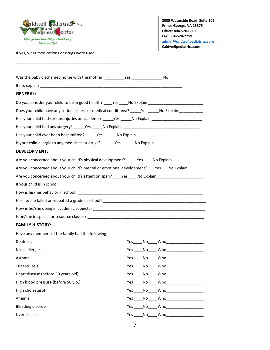

If yes, what medications or drugs were used:

\_\_\_\_\_\_\_\_\_\_\_\_\_\_\_\_\_\_\_\_\_\_\_\_\_\_\_\_\_\_\_\_\_\_\_\_\_\_\_\_\_\_\_\_\_\_\_\_

**2035 Waterside Road, Suite 105 Prince George, VA 23875 Office: 804-520-0002 Fax: 804-520-2259 [admin@caldwellpediatrics.com](mailto:admin@caldwellpediatrics.com) Caldwellpediatrics.com**

| <b>GENERAL:</b>                                                                                      |                                                  |
|------------------------------------------------------------------------------------------------------|--------------------------------------------------|
| Do you consider your child to be in good health? ____Yes ____No Explain ___________________________  |                                                  |
| Does your child have any serious illness or medical conditions:? _____Yes _____No Explain _________  |                                                  |
| Has your child had serious injuries or accidents? _____Yes _____No Explain ________________________  |                                                  |
|                                                                                                      |                                                  |
| Has your child ever been hospitalized? _____Yes ______No Explain __________________________________  |                                                  |
| Is your child allergic to any medicines or drugs? ______Yes ______No Explain_______________________  |                                                  |
| <b>DEVELOPMENT:</b>                                                                                  |                                                  |
| Are you concerned about your child's physical development? _______Yes _____No Explain                |                                                  |
| Are you concerned about your child's mental or emotional development? ____Yes ____No Explain________ |                                                  |
| Are you concerned about your child's attention span? _____Yes _____No Explain______________________  |                                                  |
| If your child is in school:                                                                          |                                                  |
|                                                                                                      |                                                  |
|                                                                                                      |                                                  |
|                                                                                                      |                                                  |
|                                                                                                      |                                                  |
| <b>FAMILY HISTORY:</b>                                                                               |                                                  |
| Have any members of the family had the following:                                                    |                                                  |
| Deafness                                                                                             |                                                  |
| Nasal allergies                                                                                      | Yes ______ No______ Who_________________________ |
| Asthma                                                                                               |                                                  |
| Tuberculosis                                                                                         | Yes ______ No______ Who_________________________ |
| Heart disease (before 50 years old)                                                                  |                                                  |
| High blood pressure (before 50 y.o.)                                                                 | Yes _____ No_____ Who_____________________       |
| High cholesterol                                                                                     | Yes _____ No______ Who_____________________      |
| Anemia                                                                                               | Yes ______ No______ Who______________________    |
| <b>Bleeding disorder</b>                                                                             |                                                  |
| Liver disease                                                                                        | Yes No Who                                       |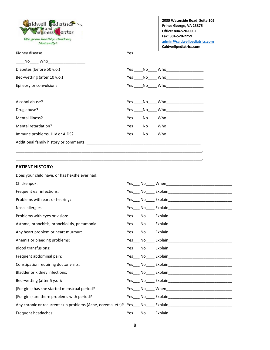aldwell Cediatrics ... and elness enter We grow healthy children, Naturally!

**2035 Waterside Road, Suite 105 Prince George, VA 23875 Office: 804-520-0002 Fax: 804-520-2259 [admin@caldwellpediatrics.com](mailto:admin@caldwellpediatrics.com) Caldwellpediatrics.com**

| Kidney disease | Yes |
|----------------|-----|
|                |     |

- $\mathsf{No}$  Who Diabetes (before 50 y.o.) The Second Second Second Second Second Second Second Second Second Second Second Second Second Second Second Second Second Second Second Second Second Second Second Second Second Second Second Sec
- Bed-wetting (after 10 y.o.) The Manus of Mes \_\_\_\_No\_\_\_\_ Who\_\_\_\_\_\_\_\_\_\_\_\_\_\_\_\_\_\_\_\_\_

Epilepsy or convulsions The Conventions Conventions The Vestigm of Who

Alcohol abuse? Yes \_\_\_\_No\_\_\_\_ Who\_\_\_\_\_\_\_\_\_\_\_\_\_\_\_\_\_ Drug abuse? Yes \_\_\_\_No\_\_\_\_ Who\_\_\_\_\_\_\_\_\_\_\_\_\_\_\_\_\_

Mental illness?  $Yes \_ No \_ Who$ Mental retardation? Yes \_\_\_\_No\_\_\_\_ Who\_\_\_\_\_\_\_\_\_\_\_\_\_\_\_\_\_

Immune problems, HIV or AIDS? The Manuscript of Manuscript of Ves \_\_\_\_No\_\_\_\_ Who

Additional family history or comments: \_\_\_\_\_\_\_\_\_\_\_\_\_\_\_\_\_\_\_\_\_\_\_\_\_\_\_\_\_\_\_\_\_\_\_\_\_\_\_\_\_\_\_\_\_\_\_\_\_\_\_\_

#### **PATIENT HISTORY:**

| Does your child have, or has he/she ever had:                                                                  |     |  |
|----------------------------------------------------------------------------------------------------------------|-----|--|
| Chickenpox:                                                                                                    |     |  |
| Frequent ear infections:                                                                                       |     |  |
| Problems with ears or hearing:                                                                                 |     |  |
| Nasal allergies:                                                                                               |     |  |
| Problems with eyes or vision:                                                                                  |     |  |
| Asthma, bronchitis, bronchiolitis, pneumonia:                                                                  | Yes |  |
| Any heart problem or heart murmur:                                                                             |     |  |
| Anemia or bleeding problems:                                                                                   |     |  |
| <b>Blood transfusions:</b>                                                                                     |     |  |
| Frequent abdominal pain:                                                                                       |     |  |
| Constipation requiring doctor visits:                                                                          |     |  |
| Bladder or kidney infections:                                                                                  |     |  |
| Bed-wetting (after 5 y.o.):                                                                                    |     |  |
| (For girls) has she started menstrual period?                                                                  | Yes |  |
| (For girls) are there problems with period?                                                                    | Yes |  |
| Any chronic or recurrent skin problems (Acne, eczema, etc)? Yes___ No____ Explain_____________________________ |     |  |
| Frequent headaches:                                                                                            |     |  |

\_\_\_\_\_\_\_\_\_\_\_\_\_\_\_\_\_\_\_\_\_\_\_\_\_\_\_\_\_\_\_\_\_\_\_\_\_\_\_\_\_\_\_\_\_\_\_\_\_\_\_\_\_\_\_\_\_\_\_\_\_\_\_\_\_\_\_\_\_\_\_\_\_\_\_\_\_\_\_\_\_\_\_\_\_. \_\_\_\_\_\_\_\_\_\_\_\_\_\_\_\_\_\_\_\_\_\_\_\_\_\_\_\_\_\_\_\_\_\_\_\_\_\_\_\_\_\_\_\_\_\_\_\_\_\_\_\_\_\_\_\_\_\_\_\_\_\_\_\_\_\_\_\_\_\_\_\_\_\_\_\_\_\_\_\_\_\_\_\_\_.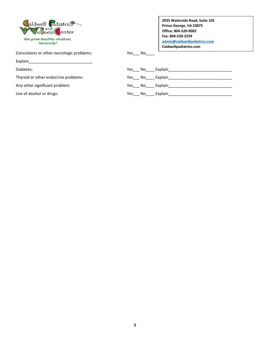| aldwell Pediatrics                      |
|-----------------------------------------|
| We grow healthy children,<br>Naturally! |

Convulsions or other neurologic problems:  $Yes_$  No\_

Explain\_

Use of alcohol or drugs:

| 2035 Waterside Road, Suite 105 |  |
|--------------------------------|--|
| Prince George, VA 23875        |  |
| Office: 804-520-0002           |  |
| Fax: 804-520-2259              |  |
| admin@caldwellpediatrics.com   |  |
| Caldwellpediatrics.com         |  |

| Diabetes:                            | Yes<br>No.<br>Explain |
|--------------------------------------|-----------------------|
| Thyroid or other endocrine problems: | Yes<br>No.<br>Explain |
| Any other significant problem:       | Yes<br>No.<br>Explain |
| Use of alcohol or drugs:             | Explain<br>Yes<br>No  |